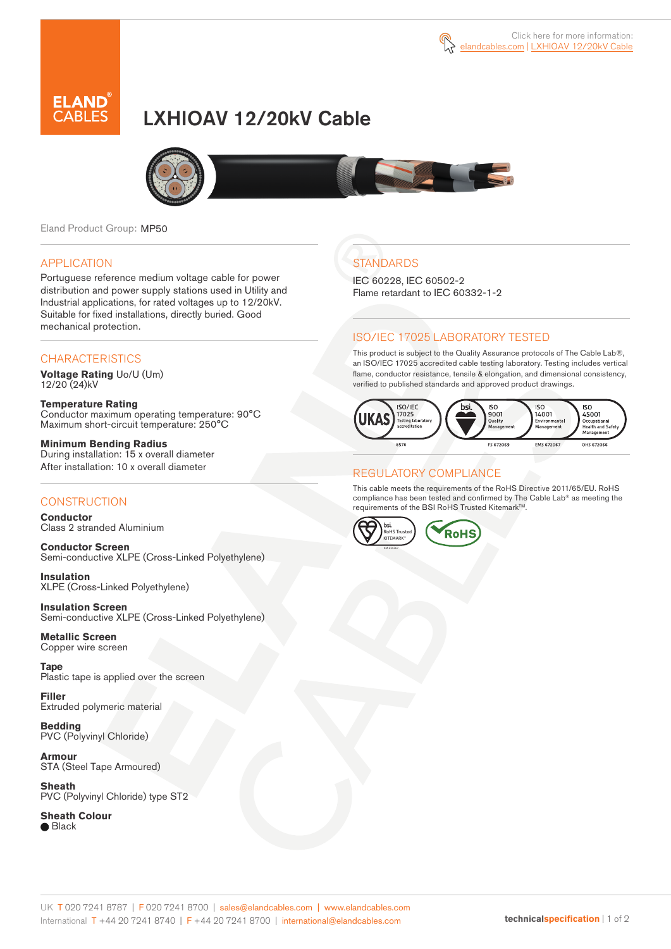



# LXHIOAV 12/20kV Cable



Eland Product Group: MP50

#### APPLICATION

Portuguese reference medium voltage cable for power distribution and power supply stations used in Utility and Industrial applications, for rated voltages up to 12/20kV. Suitable for fixed installations, directly buried. Good mechanical protection.

### **CHARACTERISTICS**

**Voltage Rating** Uo/U (Um) 12/20 (24)kV

**Temperature Rating** Conductor maximum operating temperature: 90°C Maximum short-circuit temperature: 250°C

**Minimum Bending Radius** During installation: 15 x overall diameter After installation: 10 x overall diameter

### **CONSTRUCTION**

**Conductor**  Class 2 stranded Aluminium

**Conductor Screen** Semi-conductive XLPE (Cross-Linked Polyethylene)

**Insulation** XLPE (Cross-Linked Polyethylene)

**Insulation Screen** Semi-conductive XLPE (Cross-Linked Polyethylene)

**Metallic Screen**  Copper wire screen

**Tape**  Plastic tape is applied over the screen

**Filler** Extruded polymeric material

**Bedding** PVC (Polyvinyl Chloride)

**Armour** STA (Steel Tape Armoured)

**Sheath** PVC (Polyvinyl Chloride) type ST2

**Sheath Colour ■** Black

## **STANDARDS**

IEC 60228, IEC 60502-2 Flame retardant to IEC 60332-1-2

### ISO/IEC 17025 LABORATORY TESTED

This product is subject to the Quality Assurance protocols of The Cable Lab®, an ISO/IEC 17025 accredited cable testing laboratory. Testing includes vertical flame, conductor resistance, tensile & elongation, and dimensional consistency, verified to published standards and approved product drawings.



### REGULATORY COMPLIANCE

This cable meets the requirements of the RoHS Directive 2011/65/EU. RoHS compliance has been tested and confirmed by The Cable Lab® as meeting the requirements of the BSI RoHS Trusted Kitemark™.